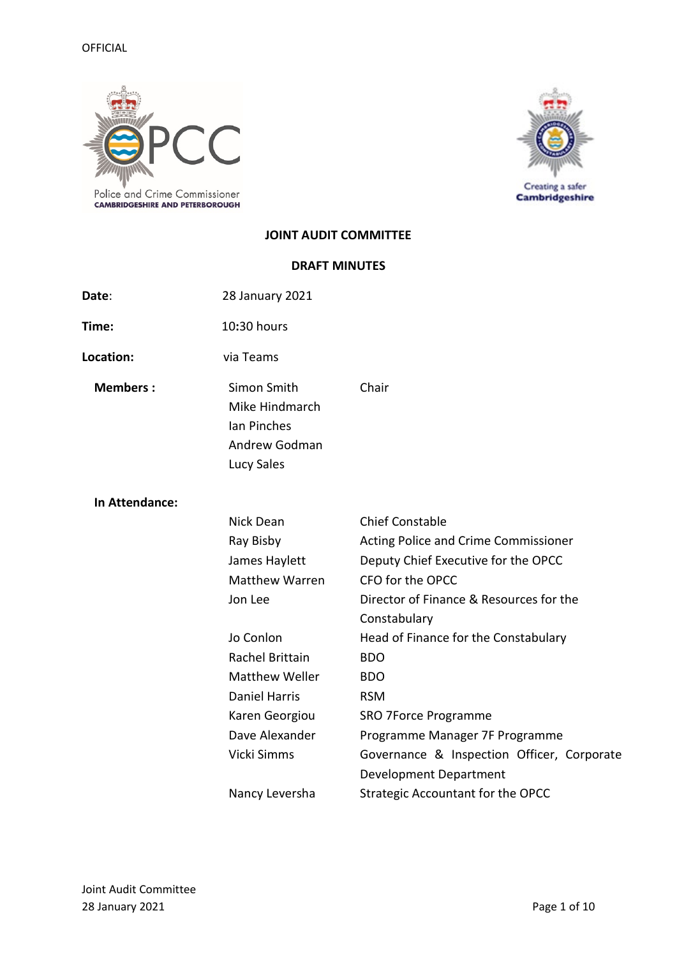

Creating a safer<br>Cambridgeshire

## **JOINT AUDIT COMMITTEE**

## **DRAFT MINUTES**

| Date:           | 28 January 2021                                                             |                                                         |
|-----------------|-----------------------------------------------------------------------------|---------------------------------------------------------|
| Time:           | 10:30 hours                                                                 |                                                         |
| Location:       | via Teams                                                                   |                                                         |
| <b>Members:</b> | Simon Smith<br>Mike Hindmarch<br>Ian Pinches<br>Andrew Godman<br>Lucy Sales | Chair                                                   |
| In Attendance:  |                                                                             |                                                         |
|                 | <b>Nick Dean</b>                                                            | <b>Chief Constable</b>                                  |
|                 | Ray Bisby                                                                   | Acting Police and Crime Commissioner                    |
|                 | James Haylett                                                               | Deputy Chief Executive for the OPCC                     |
|                 | <b>Matthew Warren</b>                                                       | CFO for the OPCC                                        |
|                 | Jon Lee                                                                     | Director of Finance & Resources for the<br>Constabulary |
|                 | Jo Conlon                                                                   | Head of Finance for the Constabulary                    |
|                 | Rachel Brittain                                                             | <b>BDO</b>                                              |
|                 | <b>Matthew Weller</b>                                                       | <b>BDO</b>                                              |
|                 | <b>Daniel Harris</b>                                                        | <b>RSM</b>                                              |
|                 | Karen Georgiou                                                              | SRO 7Force Programme                                    |
|                 | Dave Alexander                                                              | Programme Manager 7F Programme                          |
|                 | Vicki Simms                                                                 | Governance & Inspection Officer, Corporate              |
|                 |                                                                             | <b>Development Department</b>                           |
|                 | Nancy Leversha                                                              | <b>Strategic Accountant for the OPCC</b>                |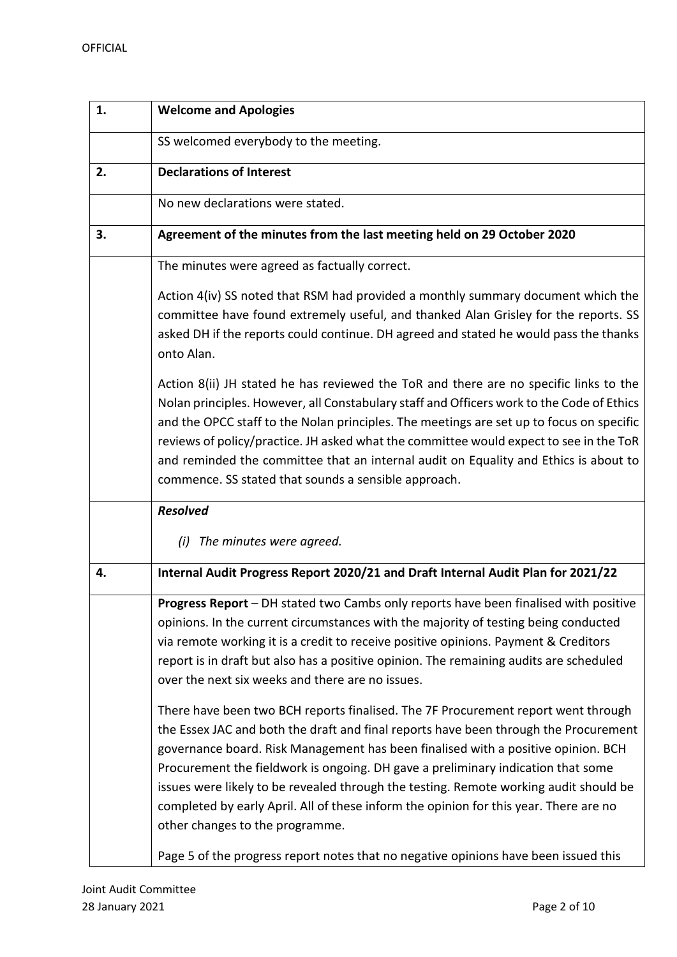| 1. | <b>Welcome and Apologies</b>                                                                                                                                                                                                                                                                                                                                                                                                                                                                                                                                            |
|----|-------------------------------------------------------------------------------------------------------------------------------------------------------------------------------------------------------------------------------------------------------------------------------------------------------------------------------------------------------------------------------------------------------------------------------------------------------------------------------------------------------------------------------------------------------------------------|
|    | SS welcomed everybody to the meeting.                                                                                                                                                                                                                                                                                                                                                                                                                                                                                                                                   |
| 2. | <b>Declarations of Interest</b>                                                                                                                                                                                                                                                                                                                                                                                                                                                                                                                                         |
|    | No new declarations were stated.                                                                                                                                                                                                                                                                                                                                                                                                                                                                                                                                        |
| 3. | Agreement of the minutes from the last meeting held on 29 October 2020                                                                                                                                                                                                                                                                                                                                                                                                                                                                                                  |
|    | The minutes were agreed as factually correct.                                                                                                                                                                                                                                                                                                                                                                                                                                                                                                                           |
|    | Action 4(iv) SS noted that RSM had provided a monthly summary document which the<br>committee have found extremely useful, and thanked Alan Grisley for the reports. SS<br>asked DH if the reports could continue. DH agreed and stated he would pass the thanks<br>onto Alan.                                                                                                                                                                                                                                                                                          |
|    | Action 8(ii) JH stated he has reviewed the ToR and there are no specific links to the<br>Nolan principles. However, all Constabulary staff and Officers work to the Code of Ethics<br>and the OPCC staff to the Nolan principles. The meetings are set up to focus on specific<br>reviews of policy/practice. JH asked what the committee would expect to see in the ToR<br>and reminded the committee that an internal audit on Equality and Ethics is about to<br>commence. SS stated that sounds a sensible approach.                                                |
|    | <b>Resolved</b>                                                                                                                                                                                                                                                                                                                                                                                                                                                                                                                                                         |
|    | The minutes were agreed.<br>(i)                                                                                                                                                                                                                                                                                                                                                                                                                                                                                                                                         |
| 4. | Internal Audit Progress Report 2020/21 and Draft Internal Audit Plan for 2021/22                                                                                                                                                                                                                                                                                                                                                                                                                                                                                        |
|    | Progress Report - DH stated two Cambs only reports have been finalised with positive<br>opinions. In the current circumstances with the majority of testing being conducted<br>via remote working it is a credit to receive positive opinions. Payment & Creditors<br>report is in draft but also has a positive opinion. The remaining audits are scheduled<br>over the next six weeks and there are no issues.                                                                                                                                                        |
|    | There have been two BCH reports finalised. The 7F Procurement report went through<br>the Essex JAC and both the draft and final reports have been through the Procurement<br>governance board. Risk Management has been finalised with a positive opinion. BCH<br>Procurement the fieldwork is ongoing. DH gave a preliminary indication that some<br>issues were likely to be revealed through the testing. Remote working audit should be<br>completed by early April. All of these inform the opinion for this year. There are no<br>other changes to the programme. |
|    | Page 5 of the progress report notes that no negative opinions have been issued this                                                                                                                                                                                                                                                                                                                                                                                                                                                                                     |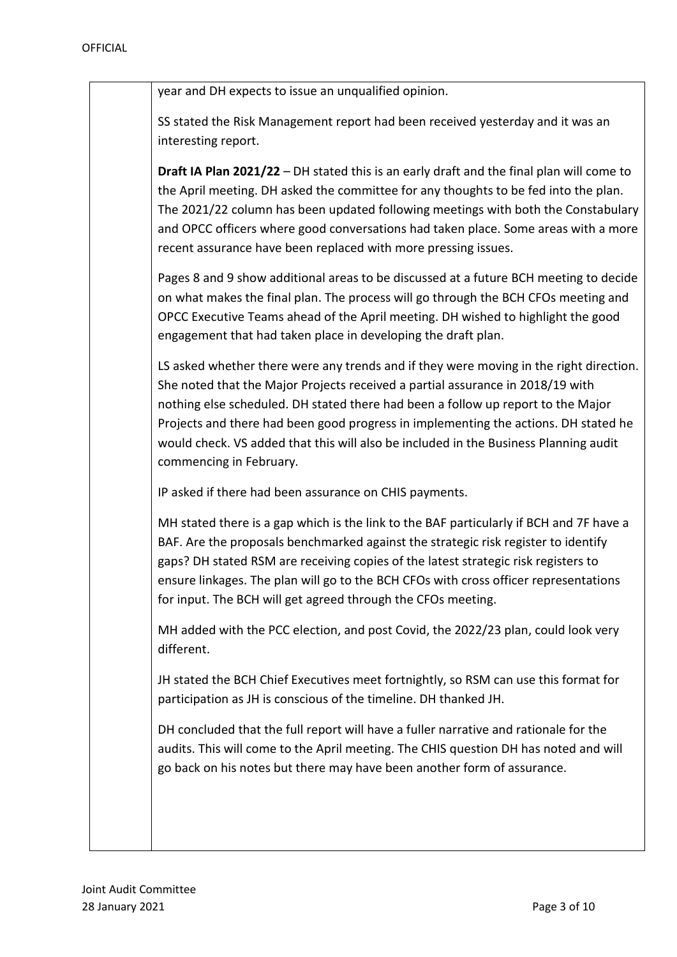| year and DH expects to issue an unqualified opinion.                                                                                                                                                                                                                                                                                                                                                                                                                   |
|------------------------------------------------------------------------------------------------------------------------------------------------------------------------------------------------------------------------------------------------------------------------------------------------------------------------------------------------------------------------------------------------------------------------------------------------------------------------|
| SS stated the Risk Management report had been received yesterday and it was an<br>interesting report.                                                                                                                                                                                                                                                                                                                                                                  |
| Draft IA Plan 2021/22 - DH stated this is an early draft and the final plan will come to<br>the April meeting. DH asked the committee for any thoughts to be fed into the plan.<br>The 2021/22 column has been updated following meetings with both the Constabulary<br>and OPCC officers where good conversations had taken place. Some areas with a more<br>recent assurance have been replaced with more pressing issues.                                           |
| Pages 8 and 9 show additional areas to be discussed at a future BCH meeting to decide<br>on what makes the final plan. The process will go through the BCH CFOs meeting and<br>OPCC Executive Teams ahead of the April meeting. DH wished to highlight the good<br>engagement that had taken place in developing the draft plan.                                                                                                                                       |
| LS asked whether there were any trends and if they were moving in the right direction.<br>She noted that the Major Projects received a partial assurance in 2018/19 with<br>nothing else scheduled. DH stated there had been a follow up report to the Major<br>Projects and there had been good progress in implementing the actions. DH stated he<br>would check. VS added that this will also be included in the Business Planning audit<br>commencing in February. |
| IP asked if there had been assurance on CHIS payments.                                                                                                                                                                                                                                                                                                                                                                                                                 |
| MH stated there is a gap which is the link to the BAF particularly if BCH and 7F have a<br>BAF. Are the proposals benchmarked against the strategic risk register to identify<br>gaps? DH stated RSM are receiving copies of the latest strategic risk registers to<br>ensure linkages. The plan will go to the BCH CFOs with cross officer representations<br>for input. The BCH will get agreed through the CFOs meeting.                                            |
| MH added with the PCC election, and post Covid, the 2022/23 plan, could look very<br>different.                                                                                                                                                                                                                                                                                                                                                                        |
| JH stated the BCH Chief Executives meet fortnightly, so RSM can use this format for<br>participation as JH is conscious of the timeline. DH thanked JH.                                                                                                                                                                                                                                                                                                                |
| DH concluded that the full report will have a fuller narrative and rationale for the<br>audits. This will come to the April meeting. The CHIS question DH has noted and will<br>go back on his notes but there may have been another form of assurance.                                                                                                                                                                                                                |
|                                                                                                                                                                                                                                                                                                                                                                                                                                                                        |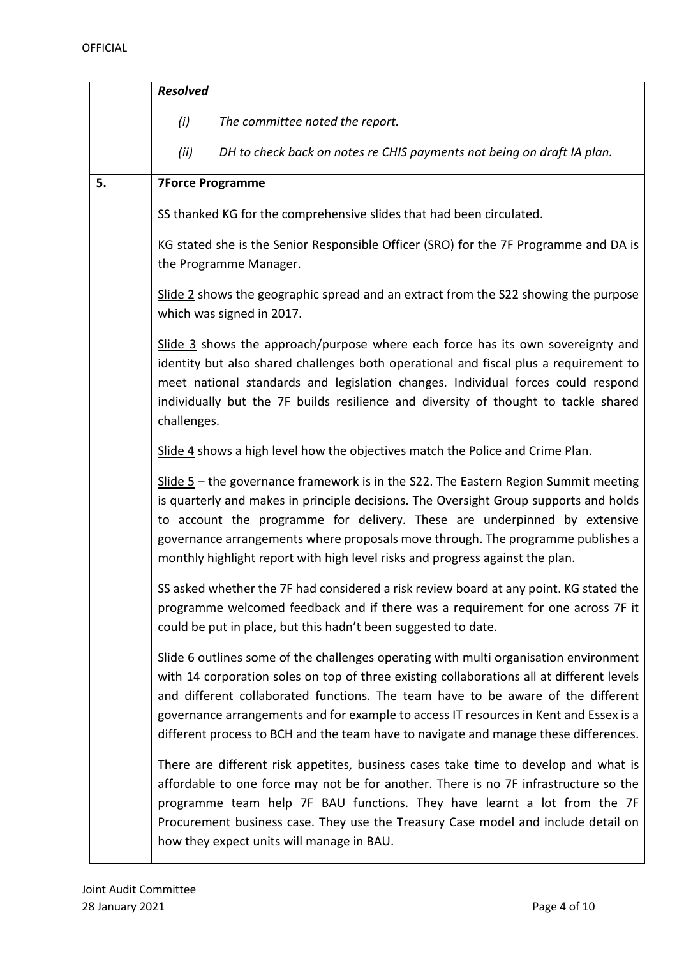|    | <b>Resolved</b>                                                                                                                                                                                                                                                                                                                                                                                                                                         |
|----|---------------------------------------------------------------------------------------------------------------------------------------------------------------------------------------------------------------------------------------------------------------------------------------------------------------------------------------------------------------------------------------------------------------------------------------------------------|
|    | (i)<br>The committee noted the report.                                                                                                                                                                                                                                                                                                                                                                                                                  |
|    | (ii)<br>DH to check back on notes re CHIS payments not being on draft IA plan.                                                                                                                                                                                                                                                                                                                                                                          |
| 5. | <b>7Force Programme</b>                                                                                                                                                                                                                                                                                                                                                                                                                                 |
|    | SS thanked KG for the comprehensive slides that had been circulated.                                                                                                                                                                                                                                                                                                                                                                                    |
|    | KG stated she is the Senior Responsible Officer (SRO) for the 7F Programme and DA is<br>the Programme Manager.                                                                                                                                                                                                                                                                                                                                          |
|    | Slide 2 shows the geographic spread and an extract from the S22 showing the purpose<br>which was signed in 2017.                                                                                                                                                                                                                                                                                                                                        |
|    | Slide 3 shows the approach/purpose where each force has its own sovereignty and<br>identity but also shared challenges both operational and fiscal plus a requirement to<br>meet national standards and legislation changes. Individual forces could respond<br>individually but the 7F builds resilience and diversity of thought to tackle shared<br>challenges.                                                                                      |
|    | Slide 4 shows a high level how the objectives match the Police and Crime Plan.                                                                                                                                                                                                                                                                                                                                                                          |
|    | $S$ lide 5 – the governance framework is in the S22. The Eastern Region Summit meeting<br>is quarterly and makes in principle decisions. The Oversight Group supports and holds<br>to account the programme for delivery. These are underpinned by extensive<br>governance arrangements where proposals move through. The programme publishes a<br>monthly highlight report with high level risks and progress against the plan.                        |
|    | SS asked whether the 7F had considered a risk review board at any point. KG stated the<br>programme welcomed feedback and if there was a requirement for one across 7F it<br>could be put in place, but this hadn't been suggested to date.                                                                                                                                                                                                             |
|    | Slide 6 outlines some of the challenges operating with multi organisation environment<br>with 14 corporation soles on top of three existing collaborations all at different levels<br>and different collaborated functions. The team have to be aware of the different<br>governance arrangements and for example to access IT resources in Kent and Essex is a<br>different process to BCH and the team have to navigate and manage these differences. |
|    | There are different risk appetites, business cases take time to develop and what is<br>affordable to one force may not be for another. There is no 7F infrastructure so the<br>programme team help 7F BAU functions. They have learnt a lot from the 7F<br>Procurement business case. They use the Treasury Case model and include detail on<br>how they expect units will manage in BAU.                                                               |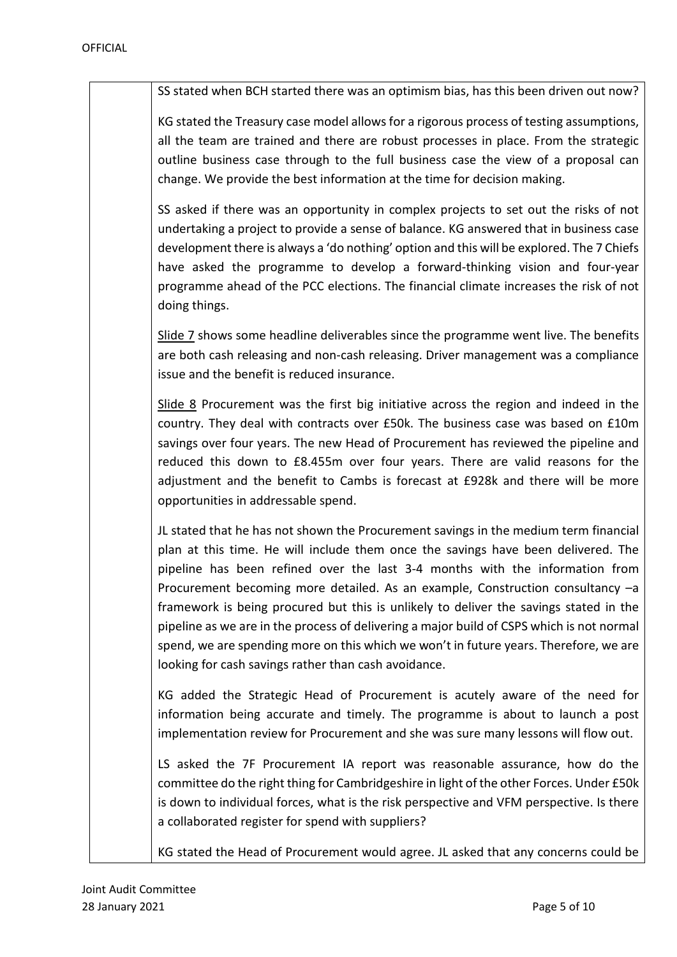SS stated when BCH started there was an optimism bias, has this been driven out now?

KG stated the Treasury case model allows for a rigorous process of testing assumptions, all the team are trained and there are robust processes in place. From the strategic outline business case through to the full business case the view of a proposal can change. We provide the best information at the time for decision making.

SS asked if there was an opportunity in complex projects to set out the risks of not undertaking a project to provide a sense of balance. KG answered that in business case development there is always a 'do nothing' option and this will be explored. The 7 Chiefs have asked the programme to develop a forward-thinking vision and four-year programme ahead of the PCC elections. The financial climate increases the risk of not doing things.

Slide 7 shows some headline deliverables since the programme went live. The benefits are both cash releasing and non-cash releasing. Driver management was a compliance issue and the benefit is reduced insurance.

Slide 8 Procurement was the first big initiative across the region and indeed in the country. They deal with contracts over £50k. The business case was based on £10m savings over four years. The new Head of Procurement has reviewed the pipeline and reduced this down to £8.455m over four years. There are valid reasons for the adjustment and the benefit to Cambs is forecast at £928k and there will be more opportunities in addressable spend.

JL stated that he has not shown the Procurement savings in the medium term financial plan at this time. He will include them once the savings have been delivered. The pipeline has been refined over the last 3-4 months with the information from Procurement becoming more detailed. As an example, Construction consultancy –a framework is being procured but this is unlikely to deliver the savings stated in the pipeline as we are in the process of delivering a major build of CSPS which is not normal spend, we are spending more on this which we won't in future years. Therefore, we are looking for cash savings rather than cash avoidance.

KG added the Strategic Head of Procurement is acutely aware of the need for information being accurate and timely. The programme is about to launch a post implementation review for Procurement and she was sure many lessons will flow out.

LS asked the 7F Procurement IA report was reasonable assurance, how do the committee do the right thing for Cambridgeshire in light of the other Forces. Under £50k is down to individual forces, what is the risk perspective and VFM perspective. Is there a collaborated register for spend with suppliers?

KG stated the Head of Procurement would agree. JL asked that any concerns could be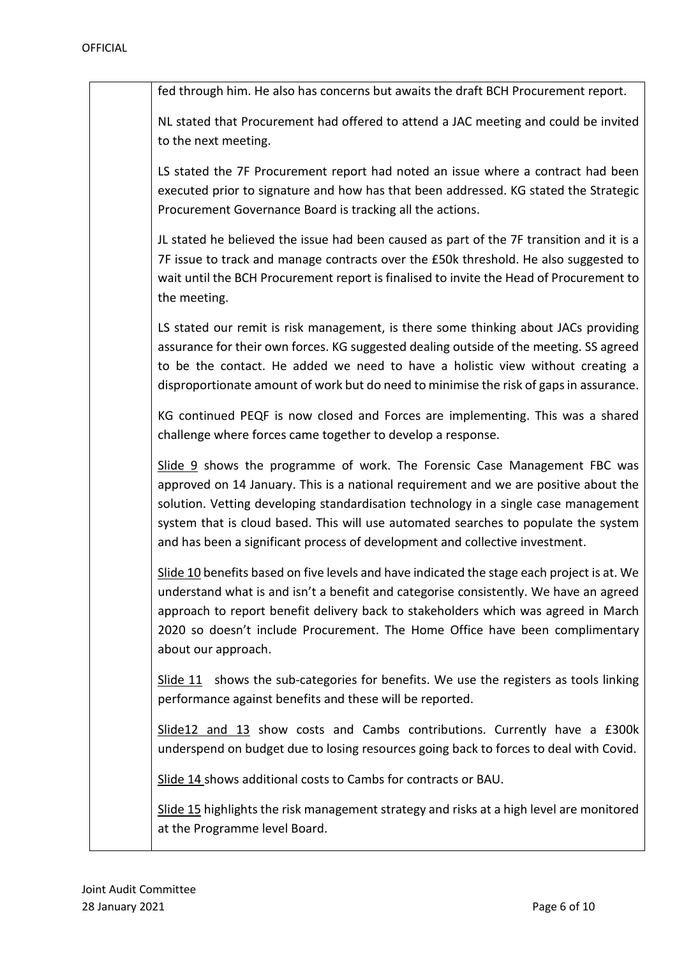| fed through him. He also has concerns but awaits the draft BCH Procurement report.                                                                                                                                                                                                                                                                                                                                              |
|---------------------------------------------------------------------------------------------------------------------------------------------------------------------------------------------------------------------------------------------------------------------------------------------------------------------------------------------------------------------------------------------------------------------------------|
| NL stated that Procurement had offered to attend a JAC meeting and could be invited<br>to the next meeting.                                                                                                                                                                                                                                                                                                                     |
| LS stated the 7F Procurement report had noted an issue where a contract had been<br>executed prior to signature and how has that been addressed. KG stated the Strategic<br>Procurement Governance Board is tracking all the actions.                                                                                                                                                                                           |
| JL stated he believed the issue had been caused as part of the 7F transition and it is a<br>7F issue to track and manage contracts over the £50k threshold. He also suggested to<br>wait until the BCH Procurement report is finalised to invite the Head of Procurement to<br>the meeting.                                                                                                                                     |
| LS stated our remit is risk management, is there some thinking about JACs providing<br>assurance for their own forces. KG suggested dealing outside of the meeting. SS agreed<br>to be the contact. He added we need to have a holistic view without creating a<br>disproportionate amount of work but do need to minimise the risk of gaps in assurance.                                                                       |
| KG continued PEQF is now closed and Forces are implementing. This was a shared<br>challenge where forces came together to develop a response.                                                                                                                                                                                                                                                                                   |
| Slide 9 shows the programme of work. The Forensic Case Management FBC was<br>approved on 14 January. This is a national requirement and we are positive about the<br>solution. Vetting developing standardisation technology in a single case management<br>system that is cloud based. This will use automated searches to populate the system<br>and has been a significant process of development and collective investment. |
| Slide 10 benefits based on five levels and have indicated the stage each project is at. We<br>understand what is and isn't a benefit and categorise consistently. We have an agreed<br>approach to report benefit delivery back to stakeholders which was agreed in March<br>2020 so doesn't include Procurement. The Home Office have been complimentary<br>about our approach.                                                |
| Slide $11$ shows the sub-categories for benefits. We use the registers as tools linking<br>performance against benefits and these will be reported.                                                                                                                                                                                                                                                                             |
| Slide12 and 13 show costs and Cambs contributions. Currently have a £300k<br>underspend on budget due to losing resources going back to forces to deal with Covid.                                                                                                                                                                                                                                                              |
| Slide 14 shows additional costs to Cambs for contracts or BAU.                                                                                                                                                                                                                                                                                                                                                                  |
| Slide 15 highlights the risk management strategy and risks at a high level are monitored<br>at the Programme level Board.                                                                                                                                                                                                                                                                                                       |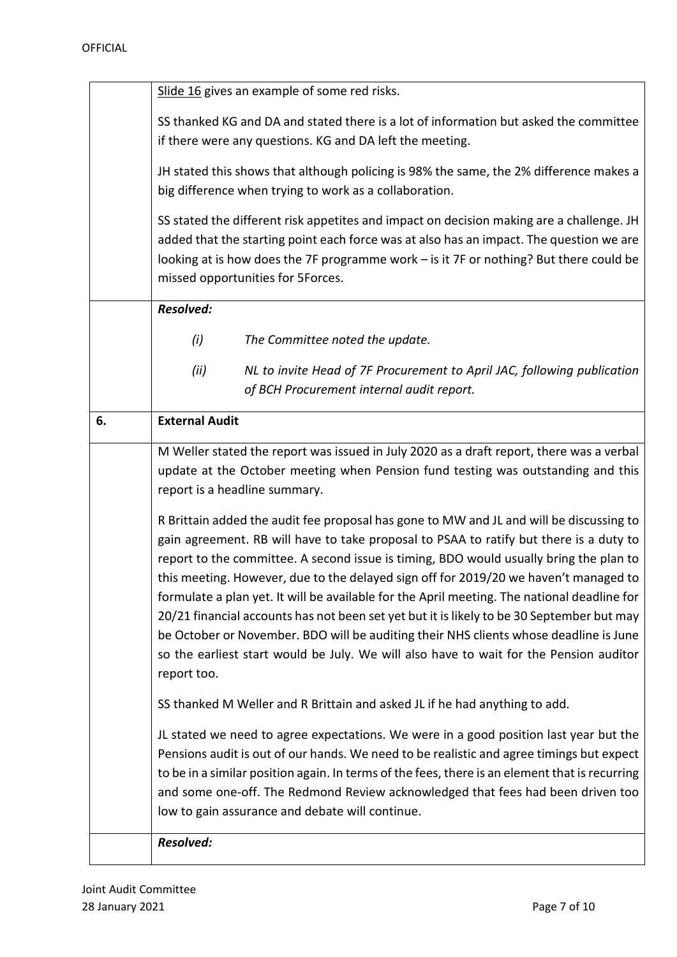| Slide 16 gives an example of some red risks. |  |
|----------------------------------------------|--|
|----------------------------------------------|--|

SS thanked KG and DA and stated there is a lot of information but asked the committee if there were any questions. KG and DA left the meeting.

JH stated this shows that although policing is 98% the same, the 2% difference makes a big difference when trying to work as a collaboration.

SS stated the different risk appetites and impact on decision making are a challenge. JH added that the starting point each force was at also has an impact. The question we are looking at is how does the 7F programme work – is it 7F or nothing? But there could be missed opportunities for 5Forces.

*Resolved:*

- *(i) The Committee noted the update.*
- *(ii) NL to invite Head of 7F Procurement to April JAC, following publication of BCH Procurement internal audit report.*

| of behinded ement internal dagit report.                                                                                                                                           |
|------------------------------------------------------------------------------------------------------------------------------------------------------------------------------------|
| <b>External Audit</b>                                                                                                                                                              |
| M Weller stated the report was issued in July 2020 as a draft report, there was a verbal                                                                                           |
| update at the October meeting when Pension fund testing was outstanding and this<br>report is a headline summary.                                                                  |
|                                                                                                                                                                                    |
| R Brittain added the audit fee proposal has gone to MW and JL and will be discussing to                                                                                            |
| gain agreement. RB will have to take proposal to PSAA to ratify but there is a duty to                                                                                             |
| report to the committee. A second issue is timing, BDO would usually bring the plan to                                                                                             |
| this meeting. However, due to the delayed sign off for 2019/20 we haven't managed to                                                                                               |
| formulate a plan yet. It will be available for the April meeting. The national deadline for                                                                                        |
| 20/21 financial accounts has not been set yet but it is likely to be 30 September but may<br>be October or November. BDO will be auditing their NHS clients whose deadline is June |
| so the earliest start would be July. We will also have to wait for the Pension auditor                                                                                             |
| report too.                                                                                                                                                                        |
| SS thanked M Weller and R Brittain and asked JL if he had anything to add.                                                                                                         |
| JL stated we need to agree expectations. We were in a good position last year but the                                                                                              |
| Pensions audit is out of our hands. We need to be realistic and agree timings but expect                                                                                           |
| to be in a similar position again. In terms of the fees, there is an element that is recurring                                                                                     |
| and some one-off. The Redmond Review acknowledged that fees had been driven too                                                                                                    |
| low to gain assurance and debate will continue.                                                                                                                                    |
| <b>Resolved:</b>                                                                                                                                                                   |
|                                                                                                                                                                                    |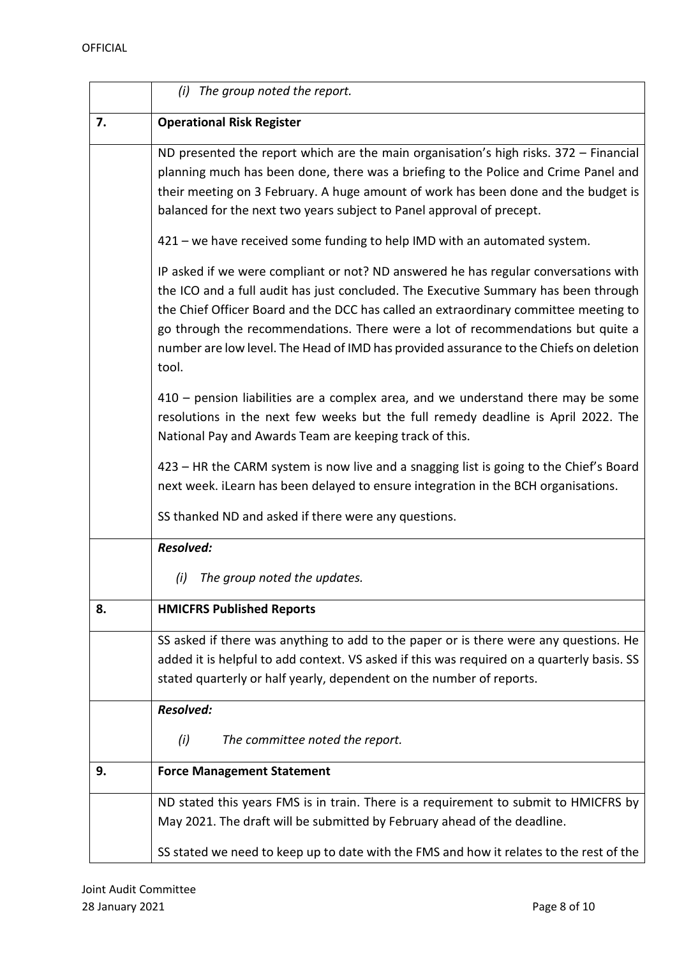|    | (i) The group noted the report.                                                                                                                                                                                                                                                                                                                                                                                                                          |
|----|----------------------------------------------------------------------------------------------------------------------------------------------------------------------------------------------------------------------------------------------------------------------------------------------------------------------------------------------------------------------------------------------------------------------------------------------------------|
| 7. | <b>Operational Risk Register</b>                                                                                                                                                                                                                                                                                                                                                                                                                         |
|    | ND presented the report which are the main organisation's high risks. 372 - Financial<br>planning much has been done, there was a briefing to the Police and Crime Panel and<br>their meeting on 3 February. A huge amount of work has been done and the budget is<br>balanced for the next two years subject to Panel approval of precept.                                                                                                              |
|    | 421 – we have received some funding to help IMD with an automated system.                                                                                                                                                                                                                                                                                                                                                                                |
|    | IP asked if we were compliant or not? ND answered he has regular conversations with<br>the ICO and a full audit has just concluded. The Executive Summary has been through<br>the Chief Officer Board and the DCC has called an extraordinary committee meeting to<br>go through the recommendations. There were a lot of recommendations but quite a<br>number are low level. The Head of IMD has provided assurance to the Chiefs on deletion<br>tool. |
|    | 410 - pension liabilities are a complex area, and we understand there may be some<br>resolutions in the next few weeks but the full remedy deadline is April 2022. The<br>National Pay and Awards Team are keeping track of this.                                                                                                                                                                                                                        |
|    | 423 - HR the CARM system is now live and a snagging list is going to the Chief's Board<br>next week. iLearn has been delayed to ensure integration in the BCH organisations.                                                                                                                                                                                                                                                                             |
|    | SS thanked ND and asked if there were any questions.                                                                                                                                                                                                                                                                                                                                                                                                     |
|    | <b>Resolved:</b>                                                                                                                                                                                                                                                                                                                                                                                                                                         |
|    | The group noted the updates.<br>(i)                                                                                                                                                                                                                                                                                                                                                                                                                      |
| 8. | <b>HMICFRS Published Reports</b>                                                                                                                                                                                                                                                                                                                                                                                                                         |
|    | SS asked if there was anything to add to the paper or is there were any questions. He<br>added it is helpful to add context. VS asked if this was required on a quarterly basis. SS<br>stated quarterly or half yearly, dependent on the number of reports.                                                                                                                                                                                              |
|    | <b>Resolved:</b>                                                                                                                                                                                                                                                                                                                                                                                                                                         |
|    | The committee noted the report.<br>(i)                                                                                                                                                                                                                                                                                                                                                                                                                   |
| 9. | <b>Force Management Statement</b>                                                                                                                                                                                                                                                                                                                                                                                                                        |
|    | ND stated this years FMS is in train. There is a requirement to submit to HMICFRS by<br>May 2021. The draft will be submitted by February ahead of the deadline.                                                                                                                                                                                                                                                                                         |
|    | SS stated we need to keep up to date with the FMS and how it relates to the rest of the                                                                                                                                                                                                                                                                                                                                                                  |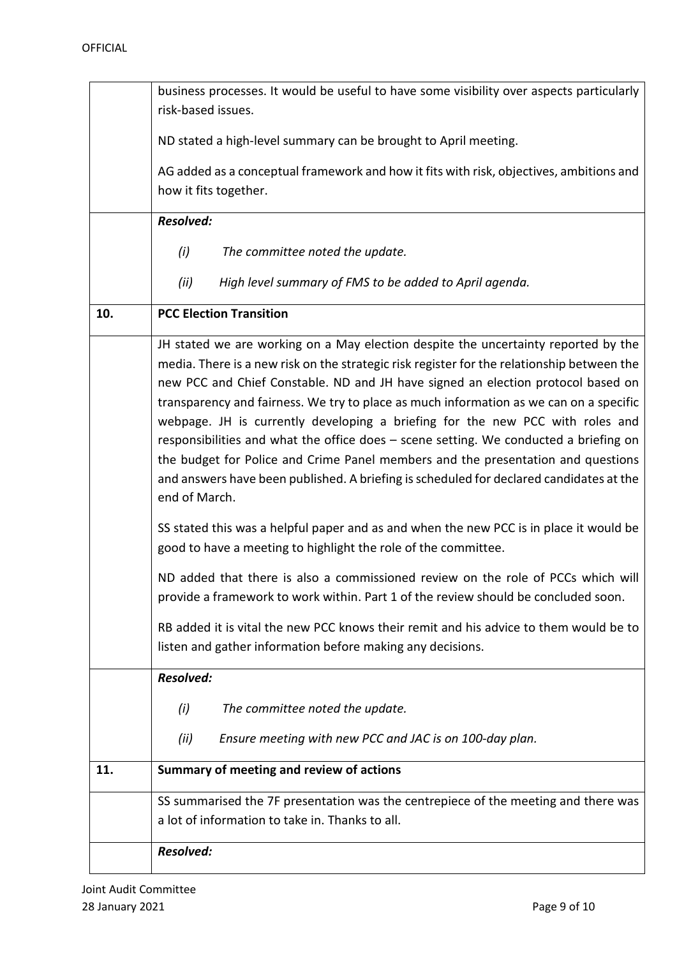|     | business processes. It would be useful to have some visibility over aspects particularly                                                                                                                                                                                                                                                                                                                                                                                                                                                                                                                                                                                                                                                 |
|-----|------------------------------------------------------------------------------------------------------------------------------------------------------------------------------------------------------------------------------------------------------------------------------------------------------------------------------------------------------------------------------------------------------------------------------------------------------------------------------------------------------------------------------------------------------------------------------------------------------------------------------------------------------------------------------------------------------------------------------------------|
|     | risk-based issues.                                                                                                                                                                                                                                                                                                                                                                                                                                                                                                                                                                                                                                                                                                                       |
|     | ND stated a high-level summary can be brought to April meeting.                                                                                                                                                                                                                                                                                                                                                                                                                                                                                                                                                                                                                                                                          |
|     | AG added as a conceptual framework and how it fits with risk, objectives, ambitions and                                                                                                                                                                                                                                                                                                                                                                                                                                                                                                                                                                                                                                                  |
|     | how it fits together.                                                                                                                                                                                                                                                                                                                                                                                                                                                                                                                                                                                                                                                                                                                    |
|     | <b>Resolved:</b>                                                                                                                                                                                                                                                                                                                                                                                                                                                                                                                                                                                                                                                                                                                         |
|     |                                                                                                                                                                                                                                                                                                                                                                                                                                                                                                                                                                                                                                                                                                                                          |
|     | (i)<br>The committee noted the update.                                                                                                                                                                                                                                                                                                                                                                                                                                                                                                                                                                                                                                                                                                   |
|     | (ii)<br>High level summary of FMS to be added to April agenda.                                                                                                                                                                                                                                                                                                                                                                                                                                                                                                                                                                                                                                                                           |
| 10. | <b>PCC Election Transition</b>                                                                                                                                                                                                                                                                                                                                                                                                                                                                                                                                                                                                                                                                                                           |
|     | JH stated we are working on a May election despite the uncertainty reported by the<br>media. There is a new risk on the strategic risk register for the relationship between the<br>new PCC and Chief Constable. ND and JH have signed an election protocol based on<br>transparency and fairness. We try to place as much information as we can on a specific<br>webpage. JH is currently developing a briefing for the new PCC with roles and<br>responsibilities and what the office does - scene setting. We conducted a briefing on<br>the budget for Police and Crime Panel members and the presentation and questions<br>and answers have been published. A briefing is scheduled for declared candidates at the<br>end of March. |
|     | SS stated this was a helpful paper and as and when the new PCC is in place it would be<br>good to have a meeting to highlight the role of the committee.                                                                                                                                                                                                                                                                                                                                                                                                                                                                                                                                                                                 |
|     | ND added that there is also a commissioned review on the role of PCCs which will<br>provide a framework to work within. Part 1 of the review should be concluded soon.                                                                                                                                                                                                                                                                                                                                                                                                                                                                                                                                                                   |
|     | RB added it is vital the new PCC knows their remit and his advice to them would be to<br>listen and gather information before making any decisions.                                                                                                                                                                                                                                                                                                                                                                                                                                                                                                                                                                                      |
|     | <b>Resolved:</b>                                                                                                                                                                                                                                                                                                                                                                                                                                                                                                                                                                                                                                                                                                                         |
|     | The committee noted the update.<br>(i)                                                                                                                                                                                                                                                                                                                                                                                                                                                                                                                                                                                                                                                                                                   |
|     | Ensure meeting with new PCC and JAC is on 100-day plan.<br>(ii)                                                                                                                                                                                                                                                                                                                                                                                                                                                                                                                                                                                                                                                                          |
| 11. | Summary of meeting and review of actions                                                                                                                                                                                                                                                                                                                                                                                                                                                                                                                                                                                                                                                                                                 |
|     | SS summarised the 7F presentation was the centrepiece of the meeting and there was                                                                                                                                                                                                                                                                                                                                                                                                                                                                                                                                                                                                                                                       |
|     | a lot of information to take in. Thanks to all.                                                                                                                                                                                                                                                                                                                                                                                                                                                                                                                                                                                                                                                                                          |
|     | <b>Resolved:</b>                                                                                                                                                                                                                                                                                                                                                                                                                                                                                                                                                                                                                                                                                                                         |